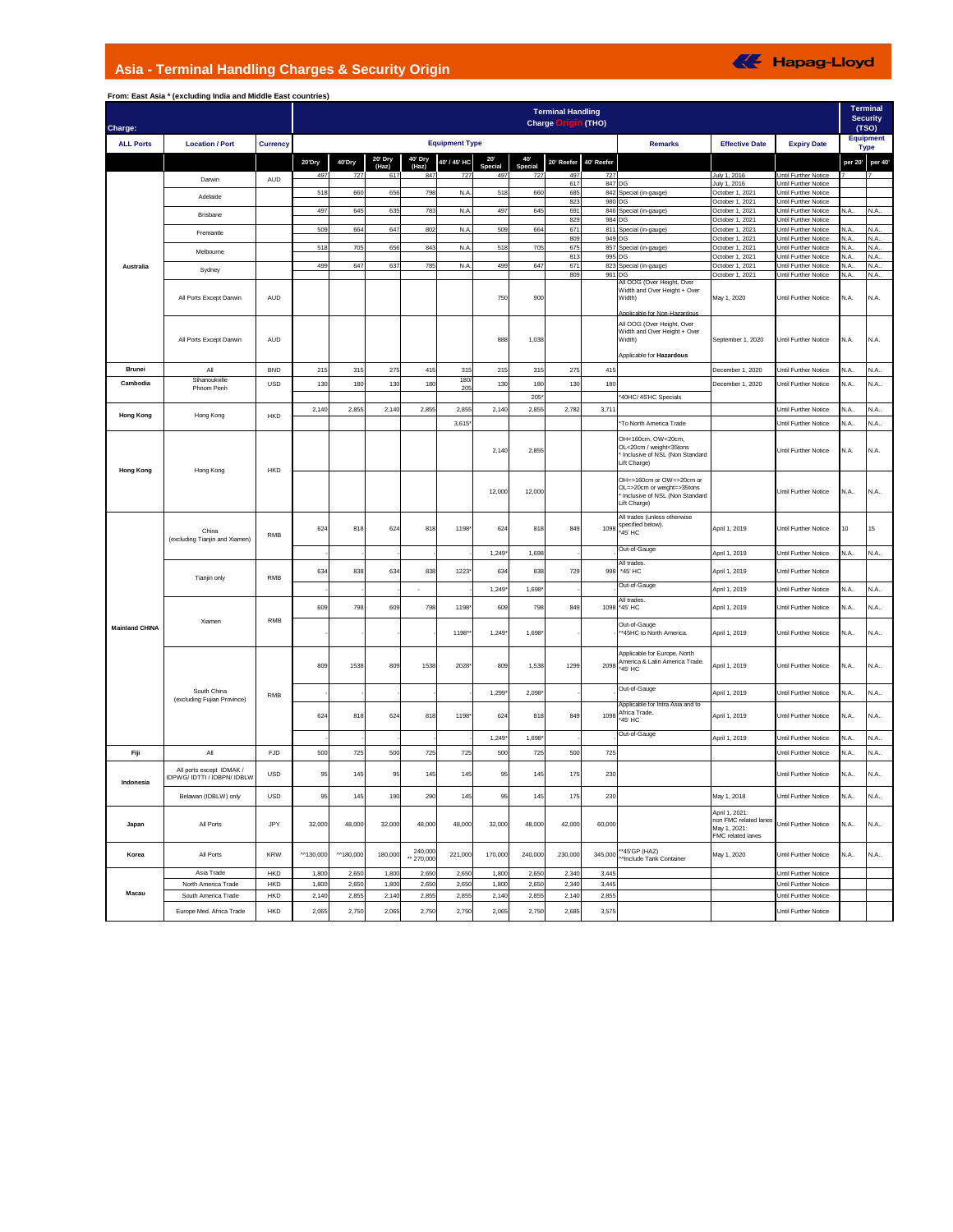## **Asia - Terminal Handling Charges & Security Origin**



| Charge:               | From: East Asia * (excluding India and Middle East countries) |                 |           |          |              |                       |                       |                |               | <b>Terminal Handling</b><br><b>Charge Origin (THO)</b> |            |                                                                                                                            |                                                                             |                                                            |              | Terminal<br><b>Security</b><br>(TSO) |
|-----------------------|---------------------------------------------------------------|-----------------|-----------|----------|--------------|-----------------------|-----------------------|----------------|---------------|--------------------------------------------------------|------------|----------------------------------------------------------------------------------------------------------------------------|-----------------------------------------------------------------------------|------------------------------------------------------------|--------------|--------------------------------------|
| <b>ALL Ports</b>      | <b>Location / Port</b>                                        | <b>Currency</b> |           |          |              |                       | <b>Equipment Type</b> |                |               |                                                        |            | <b>Remarks</b>                                                                                                             | <b>Effective Date</b>                                                       | <b>Expiry Date</b>                                         |              | <b>Equipment</b><br><b>Type</b>      |
|                       |                                                               |                 | 20'Dry    | 40'Dry   | 20' Dry      | 40' Dry               | 40' / 45' HC          | 20'            | 40            | 20' Reefer                                             | 40' Reefer |                                                                                                                            |                                                                             |                                                            | per 20'      | per 40'                              |
|                       | Darwin                                                        | <b>AUD</b>      | 497       | 727      | (Haz)<br>617 | (Haz)<br>847          | 727                   | Special<br>497 | Special<br>72 | 49                                                     | 727        |                                                                                                                            | July 1, 2016                                                                | Until Further Notice                                       |              |                                      |
|                       |                                                               |                 | 518       |          |              |                       |                       |                |               | 61                                                     |            | 847 DG                                                                                                                     | July 1, 2016                                                                | Until Further Notice                                       |              |                                      |
|                       | Adelaide                                                      |                 |           | 660      | 656          | 798                   | N.A                   | 518            | 660           | 685<br>823                                             |            | 842 Special (in-gauge)<br>980 DG                                                                                           | October 1, 2021<br>October 1, 2021                                          | Until Further Notice<br>Until Further Notice               |              |                                      |
|                       | Brisbane                                                      |                 | 497       | 645      | 635          | 783                   | N.A                   | 497            | 645           | 691                                                    |            | 846 Special (in-gauge)                                                                                                     | October 1, 2021                                                             | Until Further Notice                                       | N A          | N.A.                                 |
|                       |                                                               |                 | 509       | 664      | 647          | 802                   | N.A                   | 509            | 664           | 829<br>67                                              |            | 984 DG<br>811 Special (in-gauge)                                                                                           | October 1, 2021<br>October 1, 2021                                          | <b>Jntil Further Notice</b><br><b>Jntil Further Notice</b> | N.A          | N.A.                                 |
|                       | Fremantle                                                     |                 |           |          |              |                       |                       |                |               | 809                                                    |            | 949 DG                                                                                                                     | October 1, 2021                                                             | <b>Jntil Further Notice</b>                                | V.A          | N.A.                                 |
|                       | Melbourne                                                     |                 | 518       | 705      | 656          | 843                   | N.A                   | 518            | 705           | 675<br>813                                             |            | 857 Special (in-gauge)<br>995 DG                                                                                           | October 1, 2021<br>October 1, 2021                                          | <b>Jntil Further Notice</b><br><b>Jntil Further Notice</b> | V.A.<br>N.A. | N.A.<br>N.A.                         |
| Australia             | Sydney                                                        |                 | 499       | 647      | 637          | 785                   | N.A                   | 499            | 647           | 671                                                    |            | 823 Special (in-gauge)                                                                                                     | October 1, 2021                                                             | <b>Jntil Further Notice</b>                                | N.A          | N.A.                                 |
|                       |                                                               |                 |           |          |              |                       |                       |                |               | 809                                                    |            | 961 DG<br>All OOG (Over Height, Over                                                                                       | October 1, 2021                                                             | Until Further Notice                                       | N.A.         | N.A.                                 |
|                       | All Ports Except Darwin                                       | AUD             |           |          |              |                       |                       | 750            | 900           |                                                        |            | Width and Over Height + Over<br>Width)<br>Annlicable for Non-Hazardou                                                      | May 1, 2020                                                                 | Until Further Notice                                       | N.A.         | N.A.                                 |
|                       | All Ports Except Darwin                                       | <b>AUD</b>      |           |          |              |                       |                       | 888            | 1,038         |                                                        |            | All OOG (Over Height, Over<br>Width and Over Height + Over<br>Width)<br>Applicable for Hazardous                           | September 1, 2020                                                           | Until Further Notice                                       | N.A.         | N.A.                                 |
| <b>Brunei</b>         | All                                                           | <b>BND</b>      | 21        | 315      | 275          | 415                   | 315                   | 215            | 315           | 27!                                                    | 415        |                                                                                                                            | December 1, 2020                                                            | Until Further Notice                                       | N.A.         | N.A.                                 |
| Cambodia              | Sihanoukville                                                 | <b>USD</b>      | 130       | 180      | 130          | 180                   | 180                   | 130            | 180           | 130                                                    | 180        |                                                                                                                            | December 1, 2020                                                            | Until Further Notice                                       | N.A.         | N.A                                  |
|                       | Phnom Penh                                                    |                 |           |          |              |                       | 20                    |                | 205           |                                                        |            | *40HC/ 45'HC Specials                                                                                                      |                                                                             |                                                            |              |                                      |
|                       |                                                               |                 | 2,140     | 2,855    | 2,140        | 2,855                 | 2.85                  | 2,140          | 2,855         | 2,782                                                  | 3,71       |                                                                                                                            |                                                                             | <b>Until Further Notice</b>                                | N.A.         | N.A.                                 |
| <b>Hong Kong</b>      | Hong Kong                                                     | <b>HKD</b>      |           |          |              |                       | 3,615                 |                |               |                                                        |            | *To North America Trade                                                                                                    |                                                                             | Until Further Notice                                       | N.A.         | N.A                                  |
| <b>Hong Kong</b>      | Hong Kong                                                     |                 |           |          |              |                       |                       | 2,140          | 2.855         |                                                        |            | OH<160cm. OW<20cm.<br>OL<20cm / weight<35tons<br>Inclusive of NSL (Non Standard                                            |                                                                             | Until Further Notice                                       | N.A.         | N.A.                                 |
|                       |                                                               | <b>HKD</b>      |           |          |              |                       |                       | 12,000         | 12,000        |                                                        |            | Lift Charge)<br>OH=>160cm or OW=>20cm or<br>OL=>20cm or weight=>35tons<br>* Inclusive of NSL (Non Standard<br>Lift Charge) |                                                                             | Until Further Notice                                       | N.A          | N.A                                  |
|                       | China<br>(excluding Tianjin and Xiamen)                       | <b>RMB</b>      | 624       | 818      | 624          | 818                   | 1198                  | 624            | 818           | 849                                                    | 109        | All trades (unless otherwise<br>specified below).<br>*45' HC                                                               | April 1, 2019                                                               | Until Further Notice                                       | 10           | 15                                   |
|                       |                                                               |                 |           |          |              |                       |                       | 1,249          | 1,698         |                                                        |            | Out-of-Gauge                                                                                                               | April 1, 2019                                                               | Until Further Notice                                       | N.A.         | N.A                                  |
|                       |                                                               |                 |           |          |              |                       |                       |                |               |                                                        |            | All trades                                                                                                                 |                                                                             |                                                            |              |                                      |
|                       | Tianjin only                                                  | <b>RMB</b>      | 634       | 838      | 634          | 838                   | 1223                  | 634            | 838           | 729                                                    | 99         | *45' HC                                                                                                                    | April 1, 2019                                                               | Until Further Notice                                       |              |                                      |
|                       |                                                               |                 |           |          |              | ٠                     |                       | 1,249          | 1,698         |                                                        |            | Out-of-Gauge                                                                                                               | April 1, 2019                                                               | Until Further Notice                                       | N.A.         | N.A                                  |
|                       | Xiamen                                                        | RMB             | 609       | 798      | 609          | 798                   | 1198                  | 609            | 798           | 849                                                    | 1098       | All trades<br>*45' HC                                                                                                      | April 1, 2019                                                               | Until Further Notice                                       | N.A.         | N.A                                  |
| <b>Mainland CHINA</b> |                                                               |                 |           |          |              |                       | 1198                  | 1,249          | 1,698         |                                                        |            | Out-of-Gauge<br>*45HC to North America.                                                                                    | April 1, 2019                                                               | Until Further Notice                                       | N.A.         | N.A                                  |
|                       |                                                               |                 | 809       | 1538     | 809          | 1538                  | 2028                  | 809            | 1,538         | 1299                                                   | 209        | Applicable for Europe, North<br>America & Latin America Trade.<br>*45' HC                                                  | April 1, 2019                                                               | Until Further Notice                                       | N.A.         | N.A.                                 |
|                       | South China                                                   | RMB             |           |          |              |                       |                       | 1,299          | 2,098         |                                                        |            | Out-of-Gauge                                                                                                               | April 1, 2019                                                               | Until Further Notice                                       | <b>N.A.</b>  | N.A                                  |
|                       | (excluding Fujian Province)                                   |                 | 624       | 818      | 624          | 818                   | 1198                  | 624            | 818           | 849                                                    | 109        | Applicable for Intra Asia and to<br>Africa Trade.<br>*45' HC                                                               | April 1, 2019                                                               | Until Further Notice                                       | N.A.         | N.A                                  |
|                       |                                                               |                 |           |          |              |                       |                       | 1,249          | 1,698         |                                                        |            | Out-of-Gauge                                                                                                               | April 1, 2019                                                               | Until Further Notice                                       | N.A.         | N.A.                                 |
| Fiji                  | All                                                           | <b>FJD</b>      | 500       | 725      | 500          | 725                   | 725                   | 500            | 725           | 500                                                    | 725        |                                                                                                                            |                                                                             | Until Further Notice                                       | N.A.         | N.A                                  |
|                       | All ports except IDMAK /                                      | <b>USD</b>      | 95        | 145      | 95           | 145                   | 145                   | 95             | 145           | 175                                                    | 230        |                                                                                                                            |                                                                             | Until Further Notice                                       | N.A.         | N.A                                  |
| Indonesia             | IDPWG/ IDTTI / IDBPN/ IDBLW                                   |                 |           |          |              |                       |                       |                |               |                                                        |            |                                                                                                                            |                                                                             |                                                            |              |                                      |
|                       | Belawan (IDBLW) only                                          | <b>USD</b>      | 95        | 145      | 190          | 290                   | 145                   | 95             | 145           | 175                                                    | 230        |                                                                                                                            | May 1, 2018                                                                 | Until Further Notice                                       | N.A          | N.A                                  |
| Japan                 | All Ports                                                     | JPY             | 32,000    | 48,000   | 32,000       | 48,000                | 48,000                | 32,000         | 48,000        | 42,000                                                 | 60,000     |                                                                                                                            | April 1, 2021:<br>non FMC related lane<br>May 1, 2021:<br>FMC related lanes | Until Further Notice                                       | N.A          | N.A                                  |
| Korea                 | All Ports                                                     | <b>KRW</b>      | ^^130,000 | M180,000 | 180,000      | 240,000<br>** 270,000 | 221,000               | 170,000        | 240,000       | 230,000                                                | 345,000    | *45'GP (HAZ)<br>Mnclude Tank Container                                                                                     | May 1, 2020                                                                 | Until Further Notice                                       | N.A          | N.A                                  |
|                       | Asia Trade                                                    | <b>HKD</b>      | 1,800     | 2,650    | 1,800        | 2,650                 | 2,650                 | 1,800          | 2,650         | 2,340                                                  | 3,445      |                                                                                                                            |                                                                             | Until Further Notice                                       |              |                                      |
| Macau                 | North America Trade                                           | <b>HKD</b>      | 1,800     | 2,650    | 1,800        | 2,650                 | 2,650                 | 1,800          | 2,650         | 2,340                                                  | 3,445      |                                                                                                                            |                                                                             | Until Further Notice                                       |              |                                      |
|                       | South America Trade                                           | <b>HKD</b>      | 2,140     | 2,855    | 2,140        | 2,855                 | 2,855                 | 2,140          | 2,855         | 2,140                                                  | 2,855      |                                                                                                                            |                                                                             | Until Further Notice                                       |              |                                      |
|                       | Europe Med. Africa Trade                                      | <b>HKD</b>      | 2,065     | 2,750    | 2,065        | 2,750                 | 2,750                 | 2,065          | 2,750         | 2,685                                                  | 3,575      |                                                                                                                            |                                                                             | Until Further Notice                                       |              |                                      |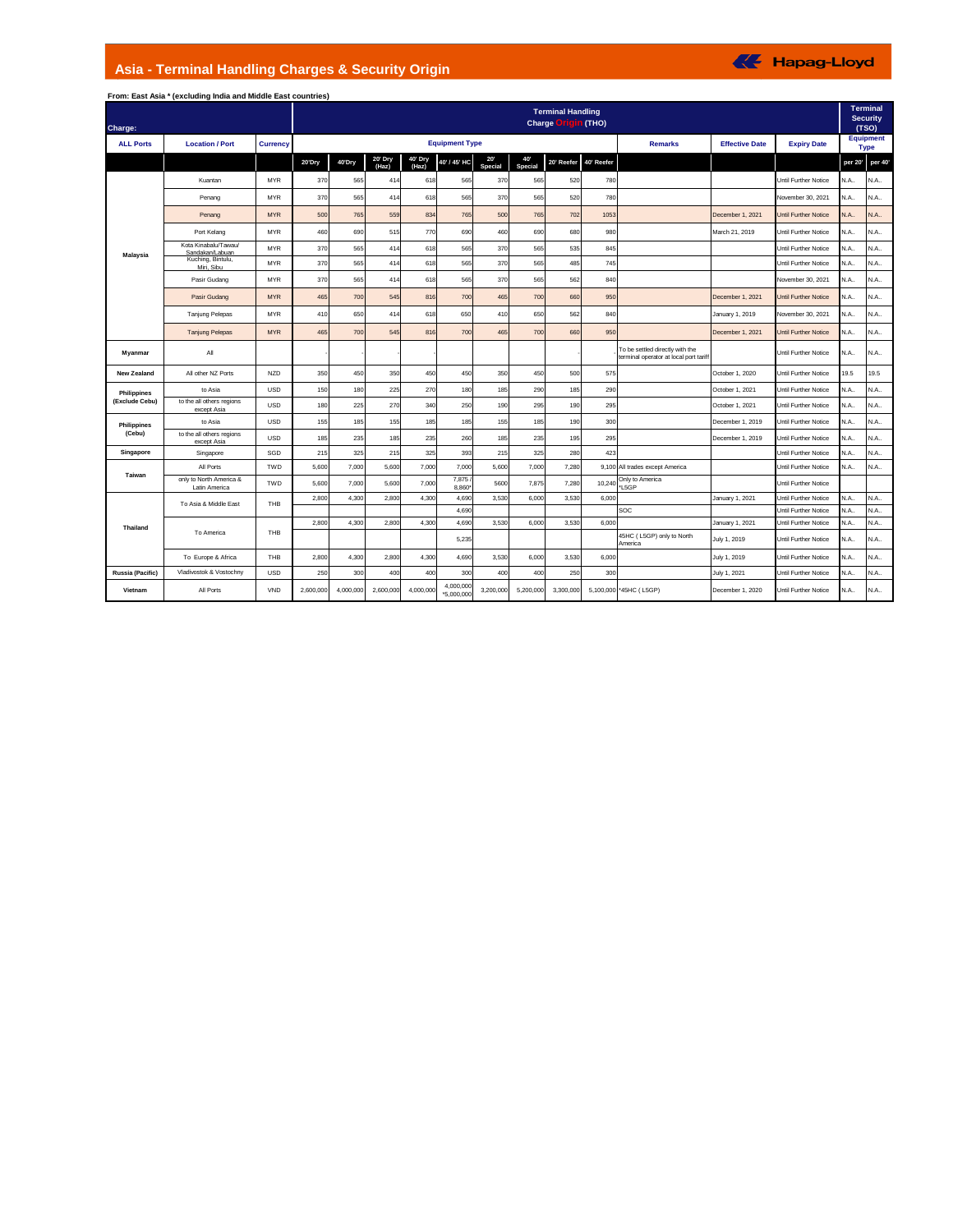## **Asia - Terminal Handling Charges & Security Origin**

|                  | From: East Asia * (excluding India and Middle East countries) |                 |                                                                                              |           |                  |                  |                         |                |                |                       |                    |                                                                           |                                          |                             |         |         |
|------------------|---------------------------------------------------------------|-----------------|----------------------------------------------------------------------------------------------|-----------|------------------|------------------|-------------------------|----------------|----------------|-----------------------|--------------------|---------------------------------------------------------------------------|------------------------------------------|-----------------------------|---------|---------|
| Charge:          |                                                               |                 | <b>Terminal</b><br><b>Terminal Handling</b><br><b>Security</b><br><b>Charge Origin (THO)</b> |           |                  |                  |                         |                |                |                       |                    |                                                                           |                                          |                             |         |         |
| <b>ALL Ports</b> | <b>Location / Port</b>                                        | <b>Currency</b> |                                                                                              |           |                  |                  | <b>Equipment Type</b>   |                | <b>Remarks</b> | <b>Effective Date</b> | <b>Expiry Date</b> |                                                                           | (TSO)<br><b>Equipment</b><br><b>Type</b> |                             |         |         |
|                  |                                                               |                 | 20'Dry                                                                                       | 40'Dry    | 20' Dry<br>(Haz) | 40' Dry<br>(Haz) | 40' / 45' HC            | 20"<br>Special | 40'<br>Special | 20' Reefer            | 40' Reefer         |                                                                           |                                          |                             | per 20' | per 40' |
|                  | Kuantan                                                       | <b>MYR</b>      | 370                                                                                          | 565       | 414              | 618              | 565                     | 370            | 565            | 520                   | 780                |                                                                           |                                          | Until Further Notice        | N.A.,   | N.A     |
|                  | Penang                                                        | <b>MYR</b>      | 370                                                                                          | 565       | 414              | 618              | 565                     | 370            | 565            | 520                   | 780                |                                                                           |                                          | November 30, 2021           | N.A.    | N.A     |
|                  | Penang                                                        | <b>MYR</b>      | 500                                                                                          | 765       | 559              | 834              | 765                     | 500            | 765            | 702                   | 1053               |                                                                           | December 1, 2021                         | <b>Until Further Notice</b> | N.A.    | N.A.    |
|                  | Port Kelang                                                   | <b>MYR</b>      | 460                                                                                          | 690       | 515              | 770              | 690                     | 460            | 690            | 680                   | 980                |                                                                           | March 21, 2019                           | Until Further Notice        | N.A.,   | N.A     |
| Malaysia         | Kota Kinabalu/Tawau/<br>Sandakan/Labuan                       | <b>MYR</b>      | 370                                                                                          | 565       | 414              | 618              | 565                     | 370            | 565            | 535                   | 845                |                                                                           |                                          | Until Further Notice        | N.A.    | N.A.    |
|                  | Kuching, Bintulu,<br>Miri. Sibu                               | <b>MYR</b>      | 370                                                                                          | 565       | 414              | 618              | 565                     | 370            | 565            | 485                   | 745                |                                                                           |                                          | Until Further Notice        | N.A.    | N.A.    |
|                  | Pasir Gudang                                                  | <b>MYR</b>      | 370                                                                                          | 565       | 414              | 618              | 565                     | 370            | 565            | 562                   | 840                |                                                                           |                                          | November 30, 2021           | N.A.    | N.A.    |
|                  | Pasir Gudang                                                  | <b>MYR</b>      | 465                                                                                          | 700       | 545              | 816              | 700                     | 465            | 700            | 660                   | 950                |                                                                           | December 1, 2021                         | Until Further Notice        | N.A     | N.A     |
|                  | <b>Tanjung Pelepas</b>                                        | <b>MYR</b>      | 410                                                                                          | 650       | 414              | 618              | 650                     | 410            | 650            | 562                   | 840                |                                                                           | January 1, 2019                          | November 30, 2021           | N.A     | N.A     |
|                  | <b>Tanjung Pelepas</b>                                        | <b>MYR</b>      | 465                                                                                          | 700       | 545              | 816              | 700                     | 465            | 700            | 660                   | 950                |                                                                           | December 1, 2021                         | <b>Until Further Notice</b> | N.A.    | N.A.,   |
| Myanmar          | All                                                           |                 |                                                                                              |           |                  |                  |                         |                |                |                       |                    | To be settled directly with the<br>terminal operator at local port tariff |                                          | <b>Until Further Notice</b> | N.A     | N.A     |
| New Zealand      | All other NZ Ports                                            | <b>NZD</b>      | 350                                                                                          | 450       | 350              | 450              | 450                     | 350            | 450            | 500                   | 575                |                                                                           | October 1, 2020                          | Until Further Notice        | 19.5    | 19.5    |
| Philippines      | to Asia                                                       | <b>USD</b>      | 150                                                                                          | 180       | 225              | 270              | 180                     | 185            | 290            | 185                   | 290                |                                                                           | October 1, 2021                          | Until Further Notice        | N.A.    | N.A.    |
| (Exclude Cebu)   | to the all others regions<br>except Asia                      | <b>USD</b>      | 180                                                                                          | 225       | 270              | 340              | 250                     | 190            | 295            | 190                   | 295                |                                                                           | October 1, 2021                          | Until Further Notice        | N.A.    | N.A.    |
| Philippines      | to Asia                                                       | <b>USD</b>      | 155                                                                                          | 185       | 155              | 185              | 185                     | 155            | 185            | 190                   | 300                |                                                                           | December 1, 2019                         | Until Further Notice        | N.A.    | N.A.    |
| (Cebu)           | to the all others regions<br>except Asia                      | <b>USD</b>      | 185                                                                                          | 235       | 185              | 235              | 260                     | 185            | 235            | 195                   | 295                |                                                                           | December 1, 2019                         | Until Further Notice        | N.A.    | N.A     |
| Singapore        | Singapore                                                     | SGD             | 215                                                                                          | 325       | 215              | 325              | 393                     | 215            | 325            | 280                   | 423                |                                                                           |                                          | Until Further Notice        | N.A.    | N.A.    |
| Taiwan           | All Ports                                                     | TWD             | 5,600                                                                                        | 7,000     | 5,600            | 7,000            | 7,000                   | 5,600          | 7,000          | 7,280                 | 9,100              | All trades except America                                                 |                                          | Until Further Notice        | N.A.    | N.A     |
|                  | only to North America &<br>Latin America                      | TWD             | 5,600                                                                                        | 7,000     | 5,600            | 7,000            | 7,875<br>8,860          | 5600           | 7,875          | 7,280                 | 10,24              | Only to America<br>*L5GP                                                  |                                          | Until Further Notice        |         |         |
|                  | To Asia & Middle East                                         | THB             | 2,800                                                                                        | 4,300     | 2,800            | 4,300            | 4,690                   | 3,530          | 6,000          | 3,530                 | 6,000              |                                                                           | January 1, 2021                          | Until Further Notice        | N.A.    | N.A.    |
|                  |                                                               |                 |                                                                                              |           |                  |                  | 4.690                   |                |                |                       |                    | SOC                                                                       |                                          | Until Further Notice        | N.A.    | N.A.    |
| Thailand         | To America                                                    | THB             | 2,800                                                                                        | 4,300     | 2,800            | 4,300            | 4,690                   | 3,530          | 6,000          | 3,530                 | 6,000              |                                                                           | January 1, 2021                          | Until Further Notice        | N.A.    | N.A.    |
|                  |                                                               |                 |                                                                                              |           |                  |                  | 5,235                   |                |                |                       |                    | 45HC (L5GP) only to North<br>America                                      | July 1, 2019                             | Until Further Notice        | N.A     | N.A.    |
|                  | To Europe & Africa                                            | THB             | 2,800                                                                                        | 4,300     | 2,800            | 4,300            | 4,690                   | 3,530          | 6,000          | 3,530                 | 6,000              |                                                                           | July 1, 2019                             | Until Further Notice        | N.A.    | N.A.,   |
| Russia (Pacific) | Vladivostok & Vostochny                                       | <b>USD</b>      | 250                                                                                          | 300       | 400              | 400              | 300                     | 400            | 400            | 250                   | 300                |                                                                           | July 1, 2021                             | Until Further Notice        | N.A     | N.A.,   |
| Vietnam          | All Ports                                                     | VND             | 2,600,000                                                                                    | 4,000,000 | 2,600,000        | 4,000,000        | 4,000,000<br>*5.000.000 | 3,200,000      | 5,200,000      | 3,300,000             |                    | 5,100,000 *45HC (L5GP)                                                    | December 1, 2020                         | Until Further Notice        | N.A     | N.A     |

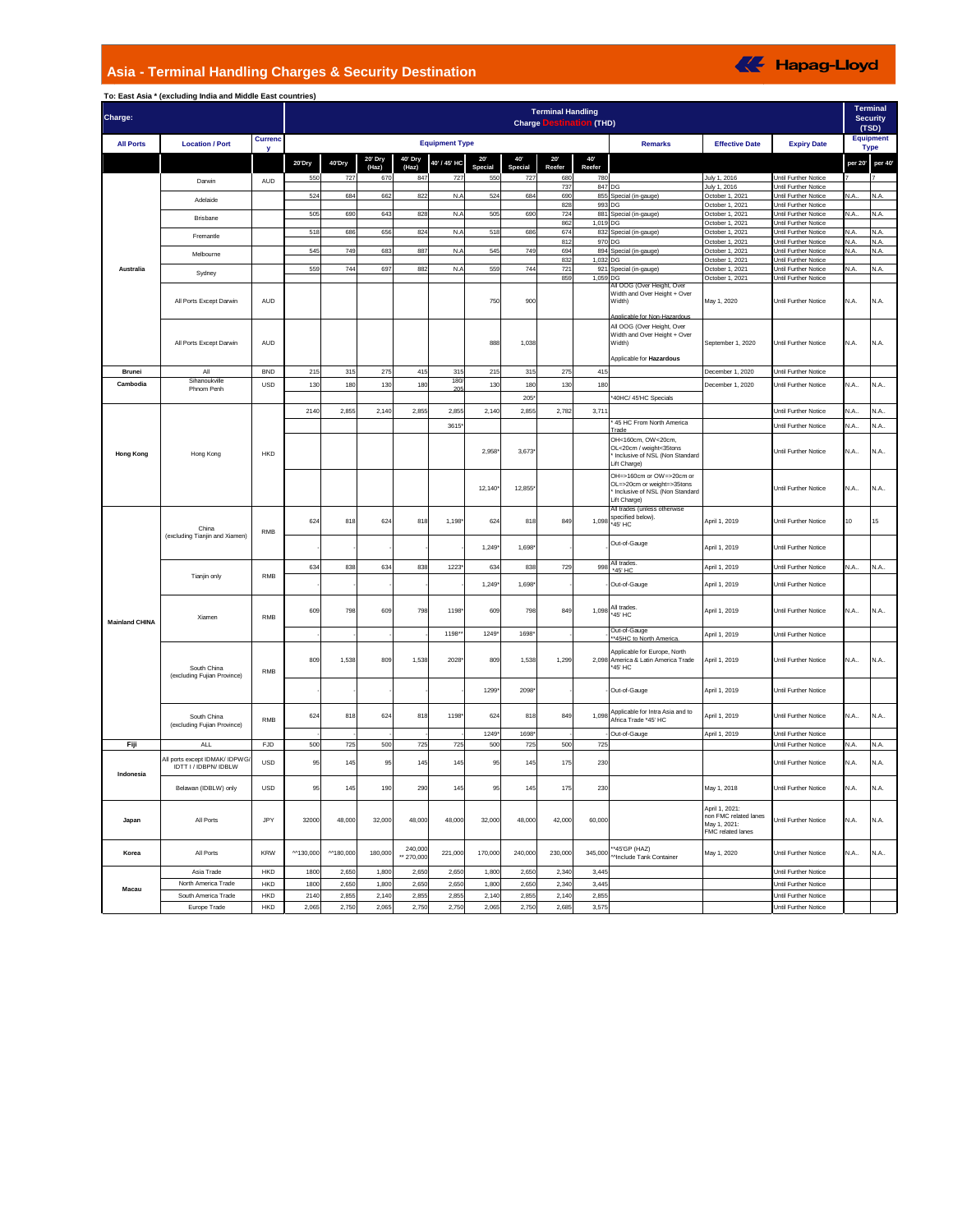## **Asia - Terminal Handling Charges & Security Destination**

| Charge:               |                                                        |                     | <b>Terminal Handling</b><br>stination (THD)<br><b>Charge Des</b> |           |              |                       |                       |                |                |               |               |                                                                                                            |                                                                              |                                                            |         |                                 |
|-----------------------|--------------------------------------------------------|---------------------|------------------------------------------------------------------|-----------|--------------|-----------------------|-----------------------|----------------|----------------|---------------|---------------|------------------------------------------------------------------------------------------------------------|------------------------------------------------------------------------------|------------------------------------------------------------|---------|---------------------------------|
| <b>All Ports</b>      | <b>Location / Port</b>                                 | <b>Currenc</b><br>v |                                                                  |           |              |                       | <b>Equipment Type</b> |                |                |               |               | <b>Remarks</b>                                                                                             | <b>Effective Date</b>                                                        | <b>Expiry Date</b>                                         |         | <b>Equipment</b><br><b>Type</b> |
|                       |                                                        |                     | 20'Dry                                                           | 40'Dry    | 20' Dry      | 40' Dry               | 40' / 45' HC          | 20'            | 40             | 20'           | 40            |                                                                                                            |                                                                              |                                                            | per 20' | per 40'                         |
|                       |                                                        |                     | 550                                                              | 727       | (Haz)<br>670 | (Haz)<br>847          | 727                   | Special<br>550 | Special<br>727 | Reefer<br>680 | Reefer<br>780 |                                                                                                            | July 1, 2016                                                                 | Until Further Notice                                       |         |                                 |
|                       | Darwin                                                 | AUD                 |                                                                  |           |              |                       |                       |                |                | 737           |               | 847 DG                                                                                                     | July 1, 2016                                                                 | Jntil Further Notice                                       |         |                                 |
|                       | Adelaide                                               |                     | 524                                                              | 684       | 662          | 822                   | N.A                   | 524            | 684            | 690<br>82     |               | 855 Special (in-gauge)<br>993 DG                                                                           | October 1, 2021<br>October 1, 2021                                           | <b>Jntil Further Notice</b><br><b>Intil Further Notice</b> | N.A.    | N.A.                            |
|                       | Brisbane                                               |                     | 505                                                              | 690       | 643          | 828                   | N.A                   | 505            | 690            | 724           |               | 881 Special (in-gauge)                                                                                     | October 1, 2021                                                              | <b>Jntil Further Notice</b>                                | N.A.    | N.A.                            |
|                       |                                                        |                     | 518                                                              | 686       | 656          | 824                   | N.A                   | 518            | 686            | 862<br>674    |               | 1,019 DG<br>832 Special (in-gauge)                                                                         | October 1, 2021<br>October 1, 2021                                           | <b>Jntil Further Notice</b><br><b>Jntil Further Notice</b> | N.A     | N.A.                            |
|                       | Fremantle                                              |                     |                                                                  |           |              |                       |                       |                |                | 812           |               | 970 DG                                                                                                     | October 1, 2021                                                              | Until Further Notice                                       | N.A.    | N.A.                            |
|                       | Melbourne                                              |                     | 545                                                              | 749       | 683          | 887                   | N.A                   | 545            | 749            | 694           |               | 894 Special (in-gauge)                                                                                     | October 1, 2021                                                              | Until Further Notice                                       | N.A.    | N.A.                            |
| Australia             |                                                        |                     | 559                                                              | 744       | 697          | 882                   | N.A                   | 559            | 744            | 832<br>721    |               | 1,032 DG<br>921 Special (in-gauge)                                                                         | October 1, 2021<br>October 1, 2021                                           | Until Further Notice<br>Until Further Notice               | N.A.    | N.A.                            |
|                       | Sydney                                                 |                     |                                                                  |           |              |                       |                       |                |                | 859           |               | 1,059 DG                                                                                                   | October 1, 2021                                                              | Until Further Notice                                       |         |                                 |
|                       | All Ports Except Darwin                                | AUD                 |                                                                  |           |              |                       |                       | 750            | 900            |               |               | <b>\ll OOG (Over Height, Ove</b><br>Width and Over Height + Over<br>Width)<br>Applicable for Non-Hazardous | May 1, 2020                                                                  | Until Further Notice                                       | N.A.    | N.A.                            |
|                       | All Ports Except Darwin                                | AUD                 |                                                                  |           |              |                       |                       | 888            | 1,038          |               |               | All OOG (Over Height, Over<br>Width and Over Height + Over<br>Width)                                       | September 1, 2020                                                            | Until Further Notice                                       | N.A.    | N.A.                            |
|                       |                                                        |                     |                                                                  |           |              |                       |                       |                |                |               |               | Applicable for Hazardous                                                                                   |                                                                              |                                                            |         |                                 |
| Brunei                | All<br>Sihanoukville                                   | <b>BND</b>          | 215                                                              | 315       | 275          | 415                   | 315<br>180            | 215            | 315            | 275           | 415           |                                                                                                            | December 1, 2020                                                             | Jntil Further Notice                                       |         |                                 |
| Cambodia              | Phnom Penh                                             | USD                 | 130                                                              | 180       | 130          | 180                   | $\alpha$              | 130            | 180            | 130           | 180           |                                                                                                            | December 1, 2020                                                             | Until Further Notice                                       | N.A     | N.A.                            |
|                       |                                                        |                     |                                                                  |           |              |                       |                       |                | 205            |               |               | 40HC/ 45'HC Specials                                                                                       |                                                                              |                                                            |         |                                 |
|                       | Hong Kong                                              |                     | 214                                                              | 2,855     | 2,14         | 2,855                 | 2,855                 | 2,140          | 2,855          | 2,782         | 3,711         |                                                                                                            |                                                                              | Until Further Notice                                       | N.A.    | N.A.                            |
| <b>Hong Kong</b>      |                                                        | <b>HKD</b>          |                                                                  |           |              |                       | 3615                  |                |                |               |               | 45 HC From North America<br><b>Trade</b>                                                                   |                                                                              | <b>Until Further Notice</b>                                | N.A.    | N.A.                            |
|                       |                                                        |                     |                                                                  |           |              |                       |                       | 2,958          | 3,673"         |               |               | OH<160cm, OW<20cm,<br>OL<20cm / weight<35tons<br>Inclusive of NSL (Non Standard<br>Lift Charge)            |                                                                              | Until Further Notice                                       | N.A     | N.A.                            |
|                       |                                                        |                     |                                                                  |           |              |                       |                       | 12,140         | 12,855         |               |               | OH=>160cm or OW=>20cm or<br>OL=>20cm or weight=>35tons<br>Inclusive of NSL (Non Standard<br>Lift Charge)   |                                                                              | Until Further Notice                                       | N.A     | N.A.                            |
|                       | China<br>(excluding Tianjin and Xiamen)                | RMB                 | 624                                                              | 818       | 624          | 818                   | 1,198                 | 624            | 818            | 849           | 1,098         | All trades (unless otherwise<br>specified below).<br>*45' HC                                               | April 1, 2019                                                                | Until Further Notice                                       | 10      | 15                              |
|                       |                                                        |                     |                                                                  |           |              |                       |                       | 1,249          | 1,698          |               |               | Out-of-Gauge                                                                                               | April 1, 2019                                                                | Until Further Notice                                       |         |                                 |
|                       | Tianjin only                                           |                     | 634                                                              | 838       | 634          | 838                   | 1223                  | 634            | 838            | 729           | 998           | All trades<br>'45' HC                                                                                      | April 1, 2019                                                                | Until Further Notice                                       | N.A.,   | N.A.                            |
|                       |                                                        | <b>RMB</b>          |                                                                  |           |              |                       |                       | 1,249          | 1,698          |               |               | Out-of-Gauge                                                                                               | April 1, 2019                                                                | Jntil Further Notice                                       |         |                                 |
| <b>Mainland CHINA</b> | Xiamen                                                 | RMB                 | 609                                                              | 798       | 609          | 798                   | 1198                  | 609            | 798            | 849           | 1,098         | All trades<br>*45' HC                                                                                      | April 1, 2019                                                                | Until Further Notice                                       | N.A.    | N.A.                            |
|                       |                                                        |                     |                                                                  |           |              |                       | 1198*                 | 1249           | 1698           |               |               | Out-of-Gauge<br>** 45HC to North America                                                                   | April 1, 2019                                                                | Until Further Notice                                       |         |                                 |
|                       | South China<br>(excluding Fujian Province)             | <b>RMB</b>          | 809                                                              | 1.538     | 809          | 1,538                 | 2028                  | 809            | 1.538          | 1,299         | 2.098         | Applicable for Europe, North<br>America & Latin America Trade<br>'45' HC                                   | April 1, 2019                                                                | Until Further Notice                                       | N.A     | N.A.                            |
|                       |                                                        |                     |                                                                  |           |              |                       |                       | 1299           | 2098*          |               |               | Out-of-Gauge                                                                                               | April 1, 2019                                                                | Until Further Notice                                       |         |                                 |
|                       | South China<br>(excluding Fujian Province)             | RMB                 | 624                                                              | 816       | 624          | 818                   | 1198                  | 624            | 818            | 849           | 1.098         | Applicable for Intra Asia and to<br>Africa Trade *45' HC                                                   | April 1, 2019                                                                | <b>Until Further Notice</b>                                | N.A     | N.A.                            |
|                       |                                                        |                     |                                                                  |           |              |                       |                       | 1249           | 1698           |               |               | Out-of-Gauge                                                                                               | April 1, 2019                                                                | Until Further Notice                                       |         |                                 |
| Fiji                  | <b>ALL</b>                                             | FJD                 | 500                                                              | 725       | 500          | 725                   | 725                   | 500            | 725            | 500           | 725           |                                                                                                            |                                                                              | Until Further Notice                                       | N.A.    | N.A.                            |
| Indonesia             | All ports except IDMAK/ IDPWG<br>IDTT I / IDBPN/ IDBLW | USD                 | 95                                                               | 145       | 95           | 145                   | 145                   | 95             | 145            | 175           | 230           |                                                                                                            |                                                                              | Until Further Notice                                       | N.A.    | N.A.                            |
|                       | Belawan (IDBLW) only                                   | USD                 | 95                                                               | 145       | 190          | 290                   | 145                   | 95             | 145            | 175           | 230           |                                                                                                            | May 1, 2018                                                                  | Until Further Notice                                       | N.A.    | N.A.                            |
| Japan                 | All Ports                                              | JPY                 | 32000                                                            | 48,000    | 32,000       | 48,000                | 48,000                | 32,000         | 48,000         | 42,000        | 60,000        |                                                                                                            | April 1, 2021:<br>non FMC related lanes<br>May 1, 2021:<br>FMC related lanes | Until Further Notice                                       | N.A.    | N.A.                            |
| Korea                 | All Ports                                              | KRW                 | ^^130,000                                                        | ^^180,000 | 180,000      | 240,000<br>** 270,000 | 221,000               | 170,000        | 240,000        | 230,000       | 345,000       | *45'GP (HAZ)<br>Minclude Tank Container                                                                    | May 1, 2020                                                                  | Until Further Notice                                       | N.A     | N.A                             |
|                       | Asia Trade                                             | HKD                 | 1800                                                             | 2,650     | 1,800        | 2,650                 | 2,650                 | 1,800          | 2,650          | 2,340         | 3,445         |                                                                                                            |                                                                              | Until Further Notice                                       |         |                                 |
| Macau                 | North America Trade                                    | HKD                 | 1800                                                             | 2,650     | 1,800        | 2,650                 | 2,650                 | 1,800          | 2,650          | 2,340         | 3,445         |                                                                                                            |                                                                              | Until Further Notice                                       |         |                                 |
|                       | South America Trade                                    | <b>HKD</b><br>HKD   | 2140                                                             | 2,855     | 2,140        | 2,855                 | 2,855                 | 2,140          | 2,855          | 2,140         | 2,855         |                                                                                                            |                                                                              | Until Further Notice<br>Until Further Notice               |         |                                 |
|                       | Europe Trade                                           |                     | 2,065                                                            | 2,750     | 2,065        | 2,750                 | 2,750                 | 2,065          | 2,750          | 2,685         | 3,575         |                                                                                                            |                                                                              |                                                            |         |                                 |